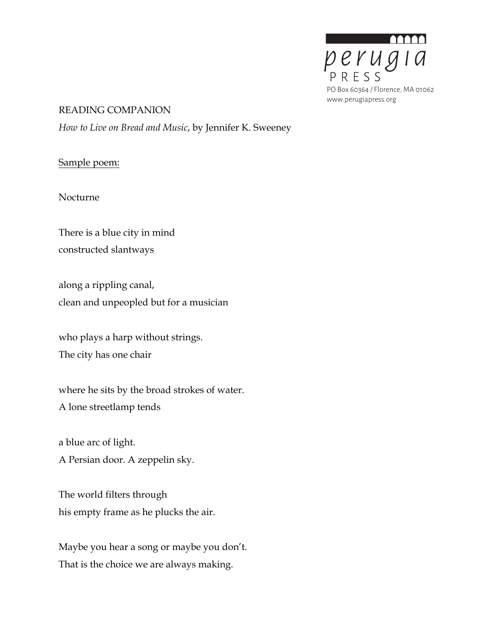

#### READING COMPANION

*How to Live on Bread and Music*, by Jennifer K. Sweeney

## Sample poem:

Nocturne

There is a blue city in mind constructed slantways

along a rippling canal, clean and unpeopled but for a musician

who plays a harp without strings. The city has one chair

where he sits by the broad strokes of water. A lone streetlamp tends

a blue arc of light.

A Persian door. A zeppelin sky.

The world filters through his empty frame as he plucks the air.

Maybe you hear a song or maybe you don't. That is the choice we are always making.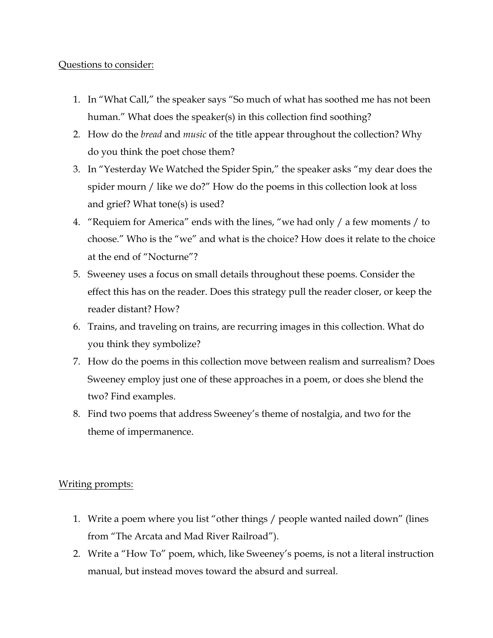## Questions to consider:

- 1. In "What Call," the speaker says "So much of what has soothed me has not been human." What does the speaker(s) in this collection find soothing?
- 2. How do the *bread* and *music* of the title appear throughout the collection? Why do you think the poet chose them?
- 3. In "Yesterday We Watched the Spider Spin," the speaker asks "my dear does the spider mourn / like we do?" How do the poems in this collection look at loss and grief? What tone(s) is used?
- 4. "Requiem for America" ends with the lines, "we had only / a few moments / to choose." Who is the "we" and what is the choice? How does it relate to the choice at the end of "Nocturne"?
- 5. Sweeney uses a focus on small details throughout these poems. Consider the effect this has on the reader. Does this strategy pull the reader closer, or keep the reader distant? How?
- 6. Trains, and traveling on trains, are recurring images in this collection. What do you think they symbolize?
- 7. How do the poems in this collection move between realism and surrealism? Does Sweeney employ just one of these approaches in a poem, or does she blend the two? Find examples.
- 8. Find two poems that address Sweeney's theme of nostalgia, and two for the theme of impermanence.

# Writing prompts:

- 1. Write a poem where you list "other things / people wanted nailed down" (lines from "The Arcata and Mad River Railroad").
- 2. Write a "How To" poem, which, like Sweeney's poems, is not a literal instruction manual, but instead moves toward the absurd and surreal.